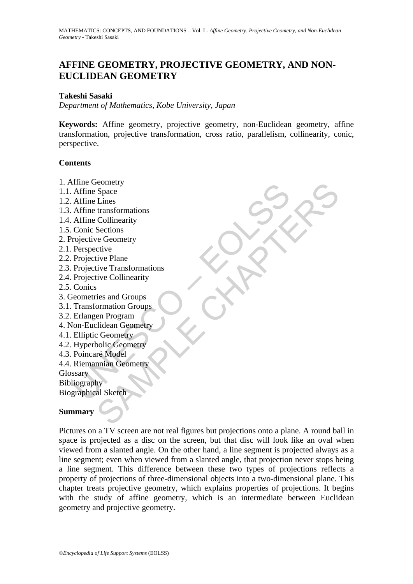# **AFFINE GEOMETRY, PROJECTIVE GEOMETRY, AND NON-EUCLIDEAN GEOMETRY**

### **Takeshi Sasaki**

*Department of Mathematics, Kobe University, Japan*

**Keywords:** Affine geometry, projective geometry, non-Euclidean geometry, affine transformation, projective transformation, cross ratio, parallelism, collinearity, conic, perspective.

### **Contents**

- 1. Affine Geometry
- 1.1. Affine Space
- 1.2. Affine Lines
- 1.3. Affine transformations
- 1.4. Affine Collinearity
- 1.5. Conic Sections
- 2. Projective Geometry
- 2.1. Perspective
- 2.2. Projective Plane
- The Geolienty<br>
Affine Space<br>
Affine Lines<br>
Affine Lines<br>
Affine transformations<br>
Affine Collinearity<br>
Conic Sections<br>
Projective Geometry<br>
Projective Plane<br>
Projective Plane<br>
Projective Transformations<br>
Projective Collinea senery<br>
Space<br>
Lines<br>
transformations<br>
Sections<br>
Sections<br>
Sections<br>
Sections<br>
Sections<br>
Sections<br>
Ce Geometry<br>
tive Plane<br>
tive Panac<br>
tive Collinearity<br>
in Program<br>
ormation Groups<br>
ormation Groups<br>
ormation Groups<br>
orma 2.3. Projective Transformations
- 2.4. Projective Collinearity
- 2.5. Conics
- 3. Geometries and Groups
- 3.1. Transformation Groups
- 3.2. Erlangen Program
- 4. Non-Euclidean Geometry
- 4.1. Elliptic Geometry
- 4.2. Hyperbolic Geometry
- 4.3. Poincaré Model
- 4.4. Riemannian Geometry
- **Glossary**

Bibliography

Biographical Sketch

### **Summary**

Pictures on a TV screen are not real figures but projections onto a plane. A round ball in space is projected as a disc on the screen, but that disc will look like an oval when viewed from a slanted angle. On the other hand, a line segment is projected always as a line segment; even when viewed from a slanted angle, that projection never stops being a line segment. This difference between these two types of projections reflects a property of projections of three-dimensional objects into a two-dimensional plane. This chapter treats projective geometry, which explains properties of projections. It begins with the study of affine geometry, which is an intermediate between Euclidean geometry and projective geometry.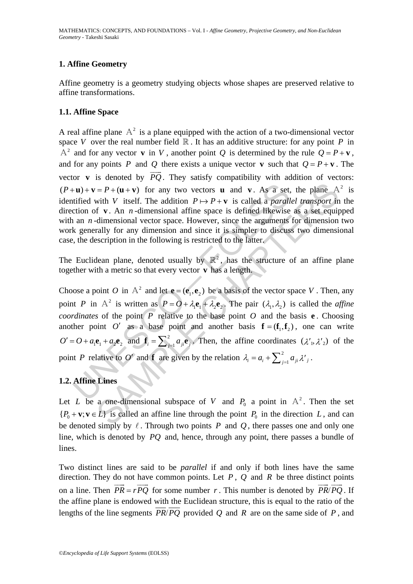## **1. Affine Geometry**

Affine geometry is a geometry studying objects whose shapes are preserved relative to affine transformations.

## **1.1. Affine Space**

A real affine plane  $A^2$  is a plane equipped with the action of a two-dimensional vector space *V* over the real number field  $\mathbb{R}$ . It has an additive structure: for any point *P* in  $A^2$  and for any vector **v** in V, another point Q is determined by the rule  $Q = P + v$ , and for any points *P* and *Q* there exists a unique vector **v** such that  $Q = P + \mathbf{v}$ . The vector **v** is denoted by  $\overrightarrow{PQ}$ . They satisfy compatibility with addition of vectors:  $(P+u)+v = P+(u+v)$  for any two vectors **u** and **v**. As a set, the plane  $A^2$  is identified with *V* itself. The addition  $P \mapsto P + v$  is called a *parallel transport* in the direction of **v** . An *n* -dimensional affine space is defined likewise as a set equipped with an *n*-dimensional vector space. However, since the arguments for dimension two work generally for any dimension and since it is simpler to discuss two dimensional case, the description in the following is restricted to the latter.

The Euclidean plane, denoted usually by  $\mathbb{R}^2$ , has the structure of an affine plane together with a metric so that every vector **v** has a length.

**Fu**)+**v** =  $P + (\mathbf{u} + \mathbf{v})$  for any two vectors **u** and **v**. As a set,<br>titlied with V itself. The addition  $P \mapsto P + \mathbf{v}$  is called a *parall*<br>ction of **v**. An *n*-dimensional affine space is defined likewise<br>a n *n*-di  $= P + (\mathbf{u} + \mathbf{v})$  for any two vectors **u** and **v**. As a set, the plane A<br>with *V* itself. The addition  $P \mapsto P + \mathbf{v}$  is called a *parallel transport* in<br>f **v**. An *n*-dimensional affine space is defined likewise as a se Choose a point *O* in  $A^2$  and let  $e = (e_1, e_2)$  be a basis of the vector space *V*. Then, any point *P* in A<sup>2</sup> is written as  $P = O + \lambda_1 \mathbf{e}_1 + \lambda_2 \mathbf{e}_2$ . The pair  $(\lambda_1, \lambda_2)$  is called the *affine coordinates* of the point  $\overline{P}$  relative to the base point  $\overline{O}$  and the basis **e**. Choosing another point *O'* as a base point and another basis  $f = (f_1, f_2)$ , one can write  $O' = O + a_1 \mathbf{e}_1 + a_2 \mathbf{e}_2$  and  $\mathbf{f}_i = \sum_{j=1}^2 a_{ji} \mathbf{e}_j$ . Then, the affine coordinates  $(\lambda'_1, \lambda'_2)$  of the point *P* relative to *O'* and **f** are given by the relation  $\lambda_i = a_i + \sum_{j=1}^2 a_{ji} \lambda'_{j}$ .

## **1.2. Affine Lines**

Let *L* be a one-dimensional subspace of *V* and  $P_0$  a point in  $A^2$ . Then the set  ${P_0 + \mathbf{v}; \mathbf{v} \in L}$  is called an affine line through the point  $P_0$  in the direction *L*, and can be denoted simply by  $\ell$ . Through two points  $P$  and  $Q$ , there passes one and only one line, which is denoted by *PQ* and, hence, through any point, there passes a bundle of lines.

Two distinct lines are said to be *parallel* if and only if both lines have the same direction. They do not have common points. Let *P* , *Q* and *R* be three distinct points on a line. Then  $\overrightarrow{PR} = r\overrightarrow{PO}$  for some number *r*. This number is denoted by  $\overrightarrow{PR}/\overrightarrow{PO}$ . If the affine plane is endowed with the Euclidean structure, this is equal to the ratio of the lengths of the line segments  $\overline{PR}/\overline{PQ}$  provided Q and R are on the same side of P, and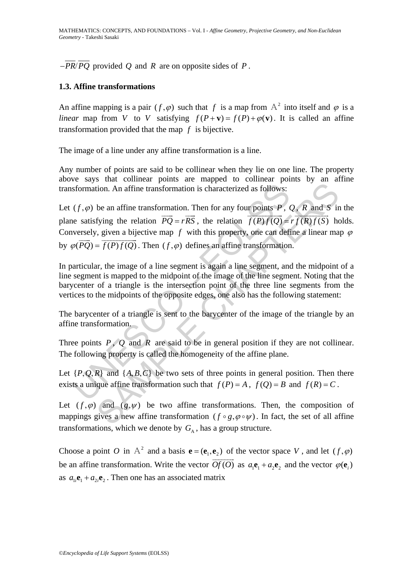$-\overline{PR}/\overline{PQ}$  provided *Q* and *R* are on opposite sides of *P*.

## **1.3. Affine transformations**

An affine mapping is a pair  $(f, \varphi)$  such that *f* is a map from  $A^2$  into itself and  $\varphi$  is a *linear* map from *V* to *V* satisfying  $f(P+\mathbf{v}) = f(P) + \varphi(\mathbf{v})$ . It is called an affine transformation provided that the map *f* is bijective.

The image of a line under any affine transformation is a line.

Any number of points are said to be collinear when they lie on one line. The property above says that collinear points are mapped to collinear points by an affine transformation. An affine transformation is characterized as follows:

sformation. An affine transformation is characterized as follows:<br>  $(f, \varphi)$  be an affine transformation. Then for any four points *P*, *t*<br>
( $f, \varphi$ ) be an affine transformation. Then for any four points *P*, *t*<br>
( $\varphi$ ) be an affine transformation is characterized as follows:<br>
tion. An affine transformation is characterized as follows:<br>
be an affine transformation. Then for any four points  $P$ ,  $Q$ ,  $R$  and  $S$  in<br>
fying the relation  $\over$ Let  $(f, \varphi)$  be an affine transformation. Then for any four points *P*, *Q*, *R* and *S* in the plane satisfying the relation  $\overrightarrow{PQ} = r\overrightarrow{RS}$ , the relation  $\overrightarrow{f(P)f(Q)} = r\overrightarrow{f(R)f(S)}$  holds. Conversely, given a bijective map  $f$  with this property, one can define a linear map  $\varphi$ by  $\varphi(\overrightarrow{PQ}) = \overrightarrow{f(P)f(Q)}$ . Then  $(f, \varphi)$  defines an affine transformation.

In particular, the image of a line segment is again a line segment, and the midpoint of a line segment is mapped to the midpoint of the image of the line segment. Noting that the barycenter of a triangle is the intersection point of the three line segments from the vertices to the midpoints of the opposite edges, one also has the following statement:

The barycenter of a triangle is sent to the barycenter of the image of the triangle by an affine transformation.

Three points  $P$ ,  $Q$  and  $R$  are said to be in general position if they are not collinear. The following property is called the homogeneity of the affine plane.

Let  $\{P,Q,R\}$  and  $\{A,B,C\}$  be two sets of three points in general position. Then there exists a unique affine transformation such that  $f(P) = A$ ,  $f(Q) = B$  and  $f(R) = C$ .

Let  $(f, \varphi)$  and  $(g, \psi)$  be two affine transformations. Then, the composition of mappings gives a new affine transformation ( $f \circ g, \varphi \circ \psi$ ). In fact, the set of all affine transformations, which we denote by  $G_{\lambda}$ , has a group structure.

Choose a point *O* in  $A^2$  and a basis  $\mathbf{e} = (\mathbf{e}_1, \mathbf{e}_2)$  of the vector space *V*, and let  $(f, \varphi)$ be an affine transformation. Write the vector  $\overrightarrow{Of(O)}$  as  $a_1e_1 + a_2e_2$  and the vector  $\varphi(e_1)$ as  $a_i \cdot \mathbf{e}_1 + a_{i2} \cdot \mathbf{e}_2$ . Then one has an associated matrix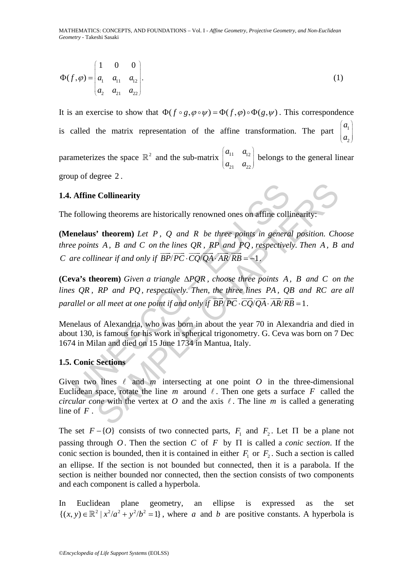MATHEMATICS: CONCEPTS, AND FOUNDATIONS – Vol. I - *Affine Geometry, Projective Geometry, and Non-Euclidean Geometry* - Takeshi Sasaki

$$
\Phi(f,\varphi) = \begin{pmatrix} 1 & 0 & 0 \\ a_1 & a_{11} & a_{12} \\ a_2 & a_{21} & a_{22} \end{pmatrix} . \tag{1}
$$

It is an exercise to show that  $\Phi(f \circ g, \varphi \circ \psi) = \Phi(f, \varphi) \circ \Phi(g, \psi)$ . This correspondence is called the matrix representation of the affine transformation. The part  $\overline{c}$ *a a*  $\begin{pmatrix} a_1 \\ a_2 \end{pmatrix}$ parameterizes the space  $\mathbb{R}^2$  and the sub-matrix  $\begin{bmatrix} a_{11} & a_{12} \\ a_{21} & a_{22} \end{bmatrix}$ 21  $\frac{u_{22}}{2}$  $a_{11}$  a  $\begin{pmatrix} a_{11} & a_{12} \ a_{21} & a_{22} \end{pmatrix}$ belongs to the general linear

group of degree 2 .

## **1.4. Affine Collinearity**

The following theorems are historically renowned ones on affine collinearity:

**(Menelaus' theorem)** *Let P , Q and R be three points in general position. Choose three points A , B and C on the lines QR , RP and PQ , respectively. Then A , B and C* are collinear if and only if  $\overrightarrow{BP}/\overrightarrow{PC} \cdot \overrightarrow{CO}/\overrightarrow{OA} \cdot \overrightarrow{AR}/\overrightarrow{RB} = -1$ .

**Affine Collinearity**<br>
following theorems are historically renowned ones on affine colline<br> **nelaus'** theorem) Let P, Q and R be three points in genera<br>
e points A, B and C on the lines QR, RP and PQ, respectivel<br>
ure col **(Ceva's theorem)** *Given a triangle*  $\Delta PQR$ *, choose three points A, B and C on the lines QR , RP and PQ, respectively. Then, the three lines PA , QB and RC are all parallel or all meet at one point if and only if*  $\overrightarrow{BP}/\overrightarrow{PC} \cdot \overrightarrow{CQ}/\overrightarrow{QA} \cdot \overrightarrow{AR}/\overrightarrow{RB} = 1$ *.* 

Menelaus of Alexandria, who was born in about the year 70 in Alexandria and died in about 130, is famous for his work in spherical trigonometry. G. Ceva was born on 7 Dec 1674 in Milan and died on 15 June 1734 in Mantua, Italy.

### **1.5. Conic Sections**

**Collinearity**<br>
ing theorems are historically renowned ones on affine collinearity:<br>
<sup>2</sup> **theorem**) Let P, Q and R be three points in general position. Chapter of the dividend  $PQ$ , respectively. Then A, B<br>
inear if and o Given two lines  $\ell$  and  $m$  intersecting at one point  $O$  in the three-dimensional Euclidean space, rotate the line  $m$  around  $\ell$ . Then one gets a surface  $F$  called the *circular cone* with the vertex at *O* and the axis  $\ell$ . The line *m* is called a generating line of *F* .

The set  $F - \{O\}$  consists of two connected parts,  $F_1$  and  $F_2$ . Let  $\Pi$  be a plane not passing through *O* . Then the section *C* of *F* by Π is called a *conic section*. If the conic section is bounded, then it is contained in either  $F_1$  or  $F_2$ . Such a section is called an ellipse. If the section is not bounded but connected, then it is a parabola. If the section is neither bounded nor connected, then the section consists of two components and each component is called a hyperbola.

In Euclidean plane geometry, an ellipse is expressed as the set  $\{(x, y) \in \mathbb{R}^2 \mid x^2/a^2 + y^2/b^2 = 1\}$ , where *a* and *b* are positive constants. A hyperbola is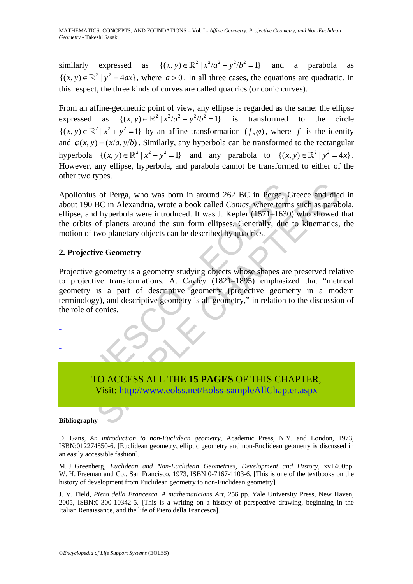similarly expressed as  $\{(x, y) \in \mathbb{R}^2 \mid x^2/a^2 - y^2/b^2 = 1\}$  and a parabola as  ${(x, y) \in \mathbb{R}^2 \mid y^2 = 4ax}$ , where  $a > 0$ . In all three cases, the equations are quadratic. In this respect, the three kinds of curves are called quadrics (or conic curves).

From an affine-geometric point of view, any ellipse is regarded as the same: the ellipse expressed as  $\{(x, y) \in \mathbb{R}^2 \mid x^2/a^2 + y^2/b^2 = 1\}$  is transformed to the circle  ${(x, y) \in \mathbb{R}^2 \mid x^2 + y^2 = 1}$  by an affine transformation  $(f, \varphi)$ , where f is the identity and  $\varphi(x, y) = (x/a, y/b)$ . Similarly, any hyperbola can be transformed to the rectangular hyperbola  $\{(x, y) \in \mathbb{R}^2 \mid x^2 - y^2 = 1\}$  and any parabola to  $\{(x, y) \in \mathbb{R}^2 \mid y^2 = 4x\}.$ However, any ellipse, hyperbola, and parabola cannot be transformed to either of the other two types.

Illonius of Perga, who was born in around 262 BC in Perga, the MI 190 BC in Alexandria, wrote a book called *Conics*, where term<br>sse, and hyperbola were introduced. It was J. Kepler (1571–1630<br>orbits of planets around the of Perga, who was born in around 262 BC in Perga, Greece and die<br>BC in Alexandria, wrote a book called *Conics*, where terms such as paral<br>i hyperbola were introduced. It was J. Kepler (1571–1630) who showed<br>of planets aro Apollonius of Perga, who was born in around 262 BC in Perga, Greece and died in about 190 BC in Alexandria, wrote a book called *Conics*, where terms such as parabola, ellipse, and hyperbola were introduced. It was J. Kepler (1571–1630) who showed that the orbits of planets around the sun form ellipses. Generally, due to kinematics, the motion of two planetary objects can be described by quadrics.

## **2. Projective Geometry**

Projective geometry is a geometry studying objects whose shapes are preserved relative to projective transformations. A. Cayley (1821–1895) emphasized that "metrical geometry is a part of descriptive geometry (projective geometry in a modern terminology), and descriptive geometry is all geometry," in relation to the discussion of the role of conics.

- -

-

TO ACCESS ALL THE **15 PAGES** OF THIS CHAPTER, Visit: http://www.eolss.net/Eolss-sampleAllChapter.aspx

#### **Bibliography**

D. Gans, *An introduction to non-Euclidean geometry*, Academic Press, N.Y. and London, 1973, ISBN:012274850-6. [Euclidean geometry, elliptic geometry and non-Euclidean geometry is discussed in an easily accessible fashion].

M. J. Greenberg, *Euclidean and Non-Euclidean Geometries, Development and History*, xv+400pp. W. H. Freeman and Co., San Francisco, 1973, ISBN:0-7167-1103-6. [This is one of the textbooks on the history of development from Euclidean geometry to non-Euclidean geometry].

J. V. Field, *Piero della Francesca. A mathematicians Art*, 256 pp. Yale University Press, New Haven, 2005, ISBN:0-300-10342-5. [This is a writing on a history of perspective drawing, beginning in the Italian Renaissance, and the life of Piero della Francesca].